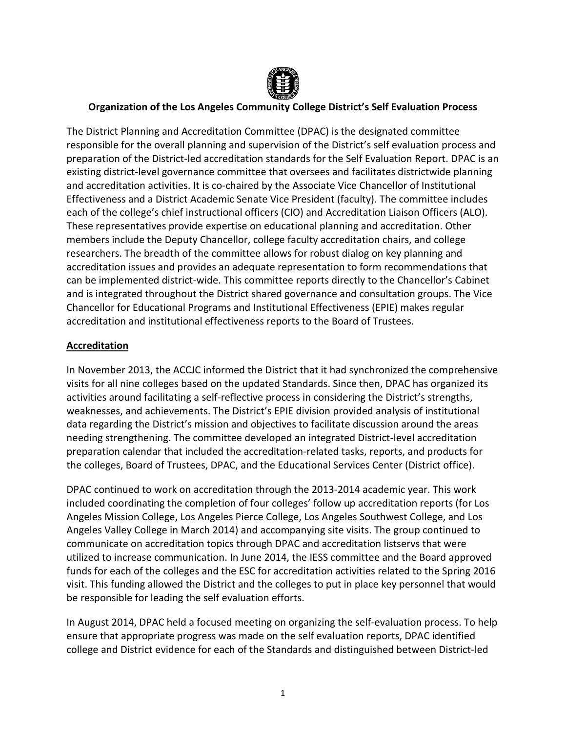

# **Organization of the Los Angeles Community College District's Self Evaluation Process**

The District Planning and Accreditation Committee (DPAC) is the designated committee responsible for the overall planning and supervision of the District's self evaluation process and preparation of the District-led accreditation standards for the Self Evaluation Report. DPAC is an existing district-level governance committee that oversees and facilitates districtwide planning and accreditation activities. It is co-chaired by the Associate Vice Chancellor of Institutional Effectiveness and a District Academic Senate Vice President (faculty). The committee includes each of the college's chief instructional officers (CIO) and Accreditation Liaison Officers (ALO). These representatives provide expertise on educational planning and accreditation. Other members include the Deputy Chancellor, college faculty accreditation chairs, and college researchers. The breadth of the committee allows for robust dialog on key planning and accreditation issues and provides an adequate representation to form recommendations that can be implemented district-wide. This committee reports directly to the Chancellor's Cabinet and is integrated throughout the District shared governance and consultation groups. The Vice Chancellor for Educational Programs and Institutional Effectiveness (EPIE) makes regular accreditation and institutional effectiveness reports to the Board of Trustees.

# **Accreditation**

In November 2013, the ACCJC informed the District that it had synchronized the comprehensive visits for all nine colleges based on the updated Standards. Since then, DPAC has organized its activities around facilitating a self-reflective process in considering the District's strengths, weaknesses, and achievements. The District's EPIE division provided analysis of institutional data regarding the District's mission and objectives to facilitate discussion around the areas needing strengthening. The committee developed an integrated District-level accreditation preparation calendar that included the accreditation-related tasks, reports, and products for the colleges, Board of Trustees, DPAC, and the Educational Services Center (District office).

DPAC continued to work on accreditation through the 2013-2014 academic year. This work included coordinating the completion of four colleges' follow up accreditation reports (for Los Angeles Mission College, Los Angeles Pierce College, Los Angeles Southwest College, and Los Angeles Valley College in March 2014) and accompanying site visits. The group continued to communicate on accreditation topics through DPAC and accreditation listservs that were utilized to increase communication. In June 2014, the IESS committee and the Board approved funds for each of the colleges and the ESC for accreditation activities related to the Spring 2016 visit. This funding allowed the District and the colleges to put in place key personnel that would be responsible for leading the self evaluation efforts.

In August 2014, DPAC held a focused meeting on organizing the self-evaluation process. To help ensure that appropriate progress was made on the self evaluation reports, DPAC identified college and District evidence for each of the Standards and distinguished between District-led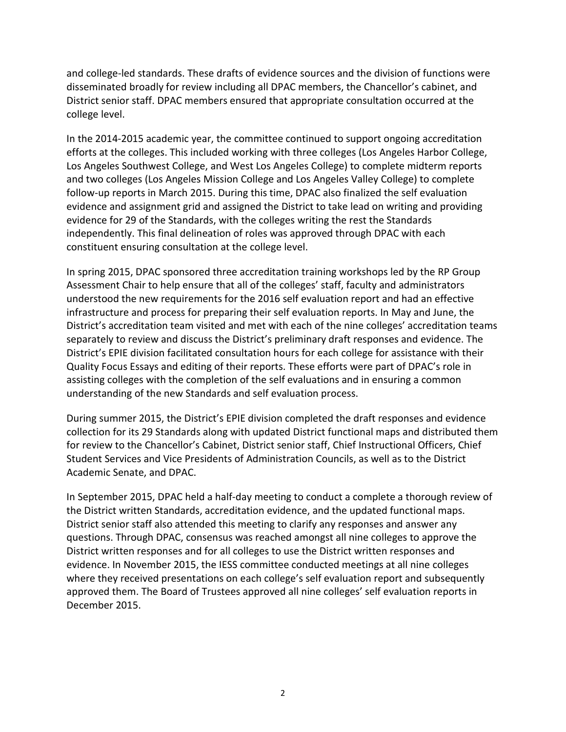and college-led standards. These drafts of evidence sources and the division of functions were disseminated broadly for review including all DPAC members, the Chancellor's cabinet, and District senior staff. DPAC members ensured that appropriate consultation occurred at the college level.

In the 2014-2015 academic year, the committee continued to support ongoing accreditation efforts at the colleges. This included working with three colleges (Los Angeles Harbor College, Los Angeles Southwest College, and West Los Angeles College) to complete midterm reports and two colleges (Los Angeles Mission College and Los Angeles Valley College) to complete follow-up reports in March 2015. During this time, DPAC also finalized the self evaluation evidence and assignment grid and assigned the District to take lead on writing and providing evidence for 29 of the Standards, with the colleges writing the rest the Standards independently. This final delineation of roles was approved through DPAC with each constituent ensuring consultation at the college level.

In spring 2015, DPAC sponsored three accreditation training workshops led by the RP Group Assessment Chair to help ensure that all of the colleges' staff, faculty and administrators understood the new requirements for the 2016 self evaluation report and had an effective infrastructure and process for preparing their self evaluation reports. In May and June, the District's accreditation team visited and met with each of the nine colleges' accreditation teams separately to review and discuss the District's preliminary draft responses and evidence. The District's EPIE division facilitated consultation hours for each college for assistance with their Quality Focus Essays and editing of their reports. These efforts were part of DPAC's role in assisting colleges with the completion of the self evaluations and in ensuring a common understanding of the new Standards and self evaluation process.

During summer 2015, the District's EPIE division completed the draft responses and evidence collection for its 29 Standards along with updated District functional maps and distributed them for review to the Chancellor's Cabinet, District senior staff, Chief Instructional Officers, Chief Student Services and Vice Presidents of Administration Councils, as well as to the District Academic Senate, and DPAC.

In September 2015, DPAC held a half-day meeting to conduct a complete a thorough review of the District written Standards, accreditation evidence, and the updated functional maps. District senior staff also attended this meeting to clarify any responses and answer any questions. Through DPAC, consensus was reached amongst all nine colleges to approve the District written responses and for all colleges to use the District written responses and evidence. In November 2015, the IESS committee conducted meetings at all nine colleges where they received presentations on each college's self evaluation report and subsequently approved them. The Board of Trustees approved all nine colleges' self evaluation reports in December 2015.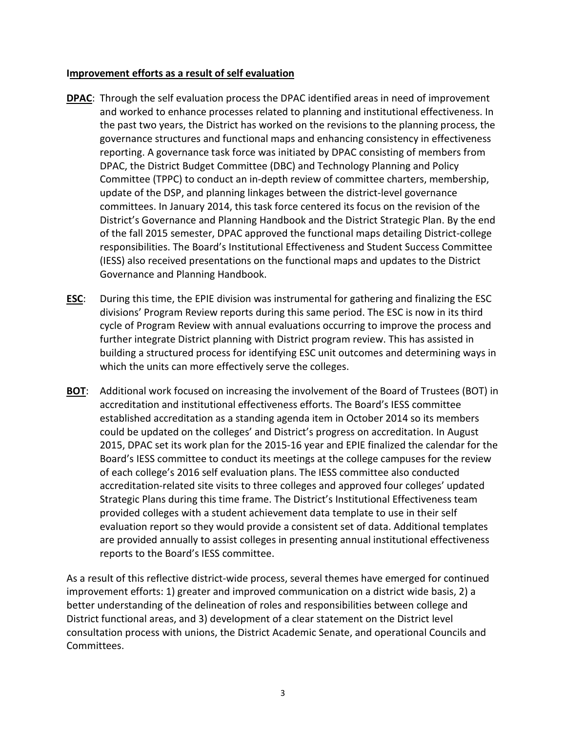### **Improvement efforts as a result of self evaluation**

- **DPAC**: Through the self evaluation process the DPAC identified areas in need of improvement and worked to enhance processes related to planning and institutional effectiveness. In the past two years, the District has worked on the revisions to the planning process, the governance structures and functional maps and enhancing consistency in effectiveness reporting. A governance task force was initiated by DPAC consisting of members from DPAC, the District Budget Committee (DBC) and Technology Planning and Policy Committee (TPPC) to conduct an in-depth review of committee charters, membership, update of the DSP, and planning linkages between the district-level governance committees. In January 2014, this task force centered its focus on the revision of the District's Governance and Planning Handbook and the District Strategic Plan. By the end of the fall 2015 semester, DPAC approved the functional maps detailing District-college responsibilities. The Board's Institutional Effectiveness and Student Success Committee (IESS) also received presentations on the functional maps and updates to the District Governance and Planning Handbook.
- **ESC**: During this time, the EPIE division was instrumental for gathering and finalizing the ESC divisions' Program Review reports during this same period. The ESC is now in its third cycle of Program Review with annual evaluations occurring to improve the process and further integrate District planning with District program review. This has assisted in building a structured process for identifying ESC unit outcomes and determining ways in which the units can more effectively serve the colleges.
- **BOT**: Additional work focused on increasing the involvement of the Board of Trustees (BOT) in accreditation and institutional effectiveness efforts. The Board's IESS committee established accreditation as a standing agenda item in October 2014 so its members could be updated on the colleges' and District's progress on accreditation. In August 2015, DPAC set its work plan for the 2015-16 year and EPIE finalized the calendar for the Board's IESS committee to conduct its meetings at the college campuses for the review of each college's 2016 self evaluation plans. The IESS committee also conducted accreditation-related site visits to three colleges and approved four colleges' updated Strategic Plans during this time frame. The District's Institutional Effectiveness team provided colleges with a student achievement data template to use in their self evaluation report so they would provide a consistent set of data. Additional templates are provided annually to assist colleges in presenting annual institutional effectiveness reports to the Board's IESS committee.

As a result of this reflective district-wide process, several themes have emerged for continued improvement efforts: 1) greater and improved communication on a district wide basis, 2) a better understanding of the delineation of roles and responsibilities between college and District functional areas, and 3) development of a clear statement on the District level consultation process with unions, the District Academic Senate, and operational Councils and Committees.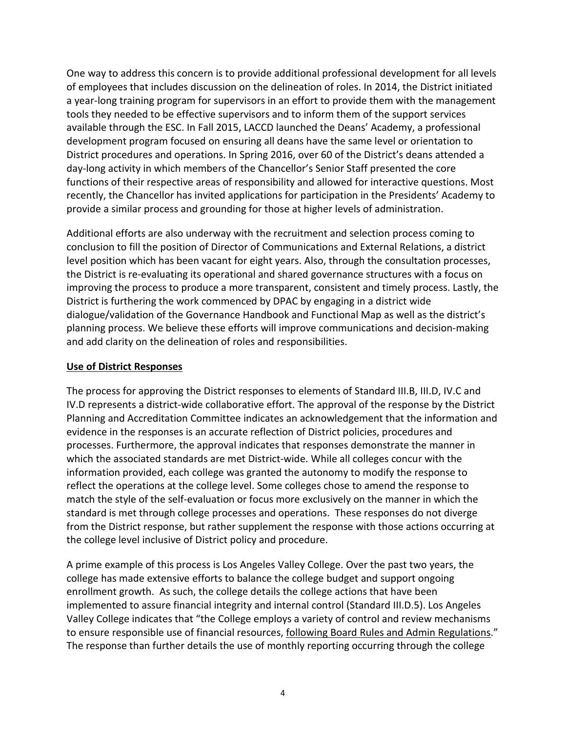One way to address this concern is to provide additional professional development for all levels of employees that includes discussion on the delineation of roles. In 2014, the District initiated a year-long training program for supervisors in an effort to provide them with the management tools they needed to be effective supervisors and to inform them of the support services available through the ESC. In Fall 2015, LACCD launched the Deans' Academy, a professional development program focused on ensuring all deans have the same level or orientation to District procedures and operations. In Spring 2016, over 60 of the District's deans attended a day-long activity in which members of the Chancellor's Senior Staff presented the core functions of their respective areas of responsibility and allowed for interactive questions. Most recently, the Chancellor has invited applications for participation in the Presidents' Academy to provide a similar process and grounding for those at higher levels of administration.

Additional efforts are also underway with the recruitment and selection process coming to conclusion to fill the position of Director of Communications and External Relations, a district level position which has been vacant for eight years. Also, through the consultation processes, the District is re-evaluating its operational and shared governance structures with a focus on improving the process to produce a more transparent, consistent and timely process. Lastly, the District is furthering the work commenced by DPAC by engaging in a district wide dialogue/validation of the Governance Handbook and Functional Map as well as the district's planning process. We believe these efforts will improve communications and decision-making and add clarity on the delineation of roles and responsibilities.

#### **Use of District Responses**

The process for approving the District responses to elements of Standard III.B, III.D, IV.C and IV.D represents a district-wide collaborative effort. The approval of the response by the District Planning and Accreditation Committee indicates an acknowledgement that the information and evidence in the responses is an accurate reflection of District policies, procedures and processes. Furthermore, the approval indicates that responses demonstrate the manner in which the associated standards are met District-wide. While all colleges concur with the information provided, each college was granted the autonomy to modify the response to reflect the operations at the college level. Some colleges chose to amend the response to match the style of the self-evaluation or focus more exclusively on the manner in which the standard is met through college processes and operations. These responses do not diverge from the District response, but rather supplement the response with those actions occurring at the college level inclusive of District policy and procedure.

A prime example of this process is Los Angeles Valley College. Over the past two years, the college has made extensive efforts to balance the college budget and support ongoing enrollment growth. As such, the college details the college actions that have been implemented to assure financial integrity and internal control (Standard III.D.5). Los Angeles Valley College indicates that "the College employs a variety of control and review mechanisms to ensure responsible use of financial resources, following Board Rules and Admin Regulations." The response than further details the use of monthly reporting occurring through the college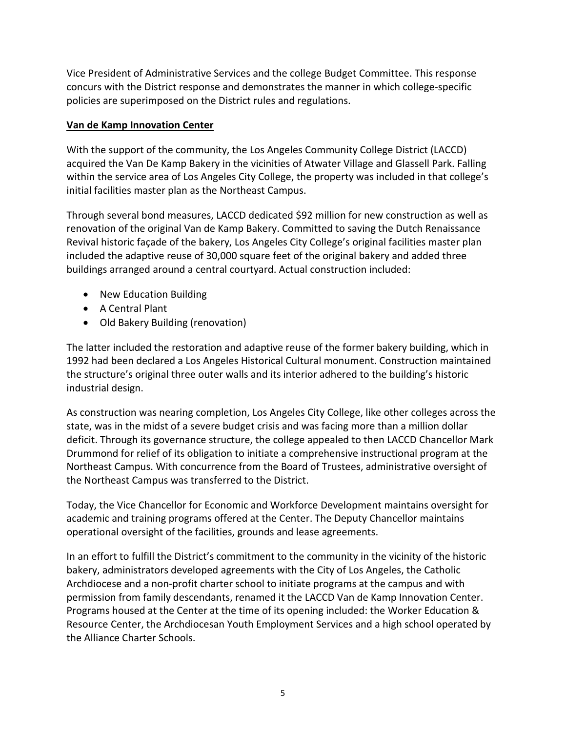Vice President of Administrative Services and the college Budget Committee. This response concurs with the District response and demonstrates the manner in which college-specific policies are superimposed on the District rules and regulations.

# **Van de Kamp Innovation Center**

With the support of the community, the Los Angeles Community College District (LACCD) acquired the Van De Kamp Bakery in the vicinities of Atwater Village and Glassell Park. Falling within the service area of Los Angeles City College, the property was included in that college's initial facilities master plan as the Northeast Campus.

Through several bond measures, LACCD dedicated \$92 million for new construction as well as renovation of the original Van de Kamp Bakery. Committed to saving the Dutch Renaissance Revival historic façade of the bakery, Los Angeles City College's original facilities master plan included the adaptive reuse of 30,000 square feet of the original bakery and added three buildings arranged around a central courtyard. Actual construction included:

- New Education Building
- A Central Plant
- Old Bakery Building (renovation)

The latter included the restoration and adaptive reuse of the former bakery building, which in 1992 had been declared a Los Angeles Historical Cultural monument. Construction maintained the structure's original three outer walls and its interior adhered to the building's historic industrial design.

As construction was nearing completion, Los Angeles City College, like other colleges across the state, was in the midst of a severe budget crisis and was facing more than a million dollar deficit. Through its governance structure, the college appealed to then LACCD Chancellor Mark Drummond for relief of its obligation to initiate a comprehensive instructional program at the Northeast Campus. With concurrence from the Board of Trustees, administrative oversight of the Northeast Campus was transferred to the District.

Today, the Vice Chancellor for Economic and Workforce Development maintains oversight for academic and training programs offered at the Center. The Deputy Chancellor maintains operational oversight of the facilities, grounds and lease agreements.

In an effort to fulfill the District's commitment to the community in the vicinity of the historic bakery, administrators developed agreements with the City of Los Angeles, the Catholic Archdiocese and a non-profit charter school to initiate programs at the campus and with permission from family descendants, renamed it the LACCD Van de Kamp Innovation Center. Programs housed at the Center at the time of its opening included: the Worker Education & Resource Center, the Archdiocesan Youth Employment Services and a high school operated by the Alliance Charter Schools.